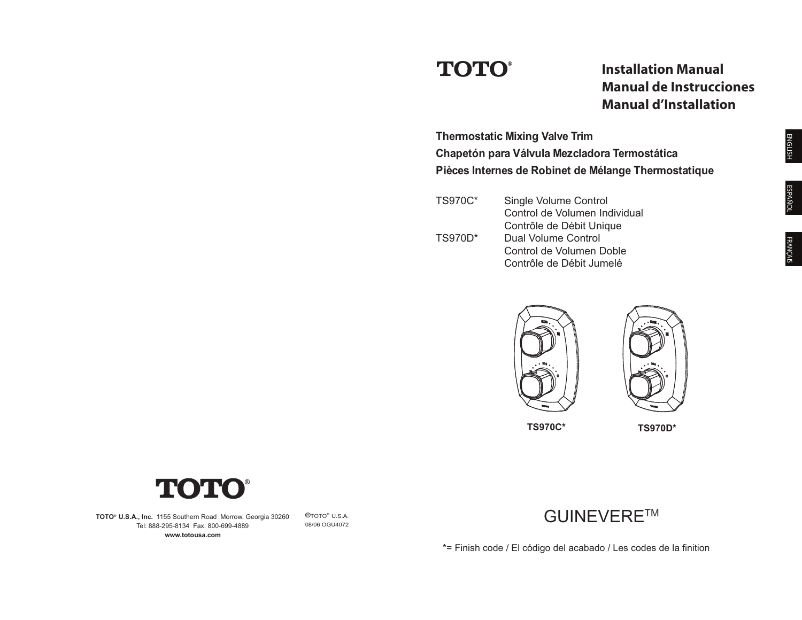# **TOTO®**

**Installation Manual Manual de Instrucciones Manual d'Installation** 

ENGLISH **Thermostatic Mixing Valve Trim Chapetón para Válvula Mezcladora Termostática Pièces Internes de Robinet de Mélange Thermostatique** 

| <b>TS970C*</b> | Single Volume Control         |  |
|----------------|-------------------------------|--|
|                | Control de Volumen Individual |  |
|                | Contrôle de Débit Unique      |  |
| <b>TS970D*</b> | Dual Volume Control           |  |
|                | Control de Volumen Doble      |  |
|                | Contrôle de Débit Jumelé      |  |





T

**TOTO® U.S.A., Inc.** 1155 Southern Road Morrow, Georgia 30260 Tel: 888-295-8134 Fax: 800-699-4889 **www.totousa.com** 

**©**TOTO**®** U.S.A. 08/06 OGU4072



\*= Finish code / El código del acabado / Les codes de la finition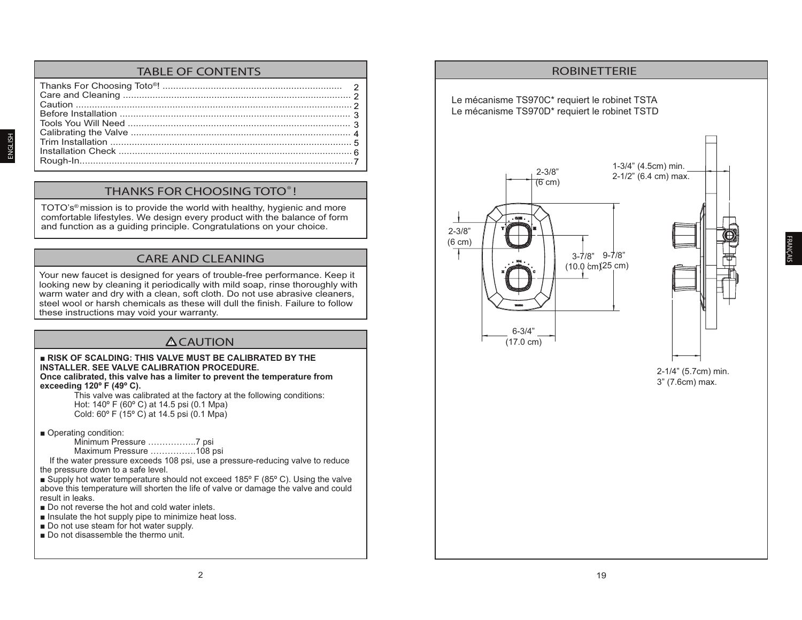# TABLE OF CONTENTS

#### THANKS FOR CHOOSING TOTO® !

TOTO's® mission is to provide the world with healthy, hygienic and more comfortable lifestyles. We design every product with the balance of form and function as a guiding principle. Congratulations on your choice.

## CARE AND CLEANING

Your new faucet is designed for years of trouble-free performance. Keep it looking new by cleaning it periodically with mild soap, rinse thoroughly with warm water and dry with a clean, soft cloth. Do not use abrasive cleaners, steel wool or harsh chemicals as these will dull the finish. Failure to follow these instructions may void your warranty.

## **!** CAUTION

**RISK OF SCALDING: THIS VALVE MUST BE CALIBRATED BY THE INSTALLER. SEE VALVE CALIBRATION PROCEDURE. Once calibrated, this valve has a limiter to prevent the temperature from exceeding 120º F (49º C).**  This valve was calibrated at the factory at the following conditions: Hot: 140º F (60º C) at 14.5 psi (0.1 Mpa) Cold: 60º F (15º C) at 14.5 psi (0.1 Mpa) Operating condition: Minimum Pressure ……………..7 psi Maximum Pressure …………….108 psi If the water pressure exceeds 108 psi, use a pressure-reducing valve to reduce the pressure down to a safe level. Supply hot water temperature should not exceed  $185^{\circ}$  F (85 $^{\circ}$  C). Using the valve above this temperature will shorten the life of valve or damage the valve and could result in leaks. ■ Do not reverse the hot and cold water inlets.

- Insulate the hot supply pipe to minimize heat loss.
- $\blacksquare$  Do not use steam for hot water supply.
- $\blacksquare$  Do not disassemble the thermo unit.

ENGLISH



2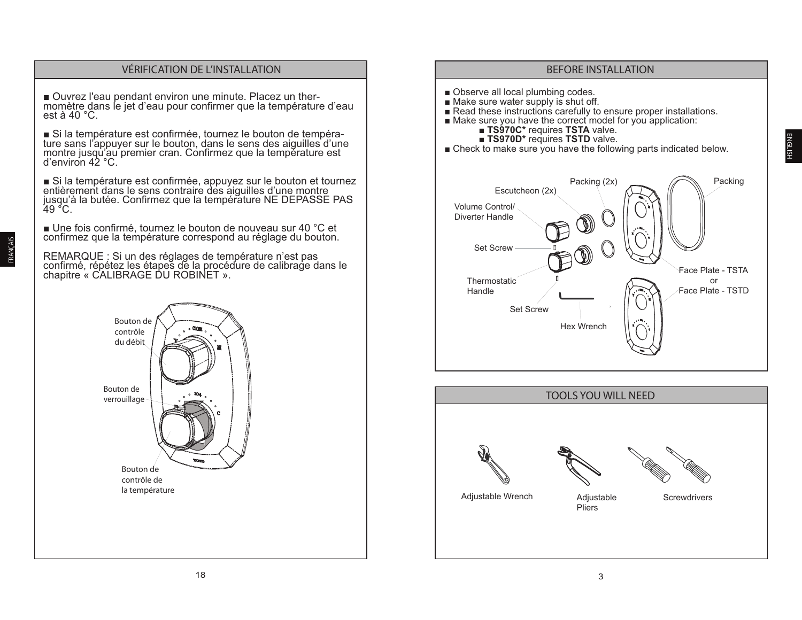#### **VÉRIFICATION DE L'INSTALLATION**

■ Ouvrez l'eau pendant environ une minute. Placez un thermomètre dans le jet d'eau pour confirmer que la température d'eau est à 40  $^{\circ}$ C.

Si la température est confirmée, tournez le bouton de température sans l'appuyer sur le bouton, dans le sens des aiguilles d'une montre jusqu'au premier cran. Confirmez que la température est d'environ  $42^{\circ}$ C.

Si la température est confirmée, appuyez sur le bouton et tournez<br>entièrement dans le sens contraire des aiguilles d'une montre jusqu'à la butée. Confirmez que la température NE DEPASSE PAS

■ Une fois confirmé, tournez le bouton de nouveau sur 40 °C et confirmez que la température correspond au réglage du bouton.

REMARQUE : Si un des réglages de température n'est pas confirmé, répétez les étapes de la procédure de calibrage dans le chapitre « CALIBRAGE DU ROBINET ».

> Bouton de contrôle du débit Bouton de verrouillage Bouton de contrôle de la température

#### **BEFORE INSTALLATION**

- Observe all local plumbing codes.
- Make sure water supply is shut off.
- Read these instructions carefully to ensure proper installations.<br>■ Make sure you have the correct model for you application:
	- - **TS970C\*** requires TSTA valve.
		- **TS970D\*** requires TSTD valve.
- Check to make sure you have the following parts indicated below.



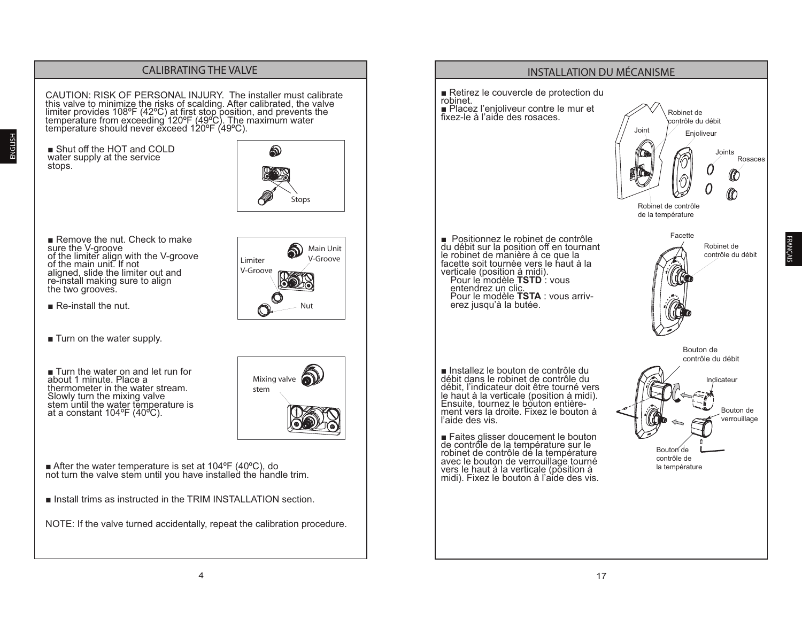

FRANÇAIS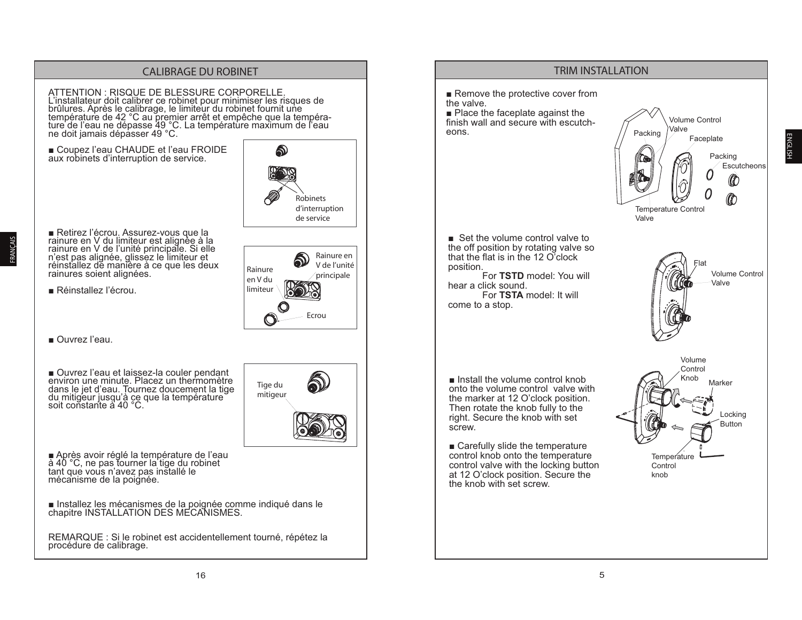#### **CALIBRAGE DU ROBINET**

ATTENTION : RISQUE DE BLESSURE CORPORELLE. L'installateur doit calibrer ce robinet pour minimiser les risques de Enforces de la calibrage, le limiteur du robinet fournit une<br>température de 42 °C au premier arrêt et empêche que la température de l'eau ne dépasse 49 °C. La température maximum de l'eau ne doit jamais dépasser 49 °C.

Coupez l'eau CHAUDE et l'eau FROIDE aux robinets d'interruption de service.



■ Retirez l'écrou. Assurez-vous que la<br>rainure en V du limiteur est alignée à la<br>rainure en V de l'unité principale. Si elle<br>n'est pas alignée, glissez le limiteur et réinstallez de manière à ce que les deux rainures soient alignées.

Réinstallez l'écrou.



Tige du

mitigeur

Ouvrez l'eau.

FRANÇAIS

Ouvrez l'eau et laissez-la couler pendant<br>environ une minute. Placez un thermomètre dans le jet d'eau. Tournez doucement la tige du mitigeur jusqu'à ce que la température<br>soit constante à 40 °C.

■ Après avoir réglé la température de l'eau<br>à 40 °C, ne pas tourner la tige du robinet tant que vous n'avez pas installé le mécanisme de la poignée.

Installez les mécanismes de la poignée comme indiqué dans le chapitre INSTALLATION DES MECANISMES.

REMARQUE : Si le robinet est accidentellement tourné, répétez la procédure de calibrage.

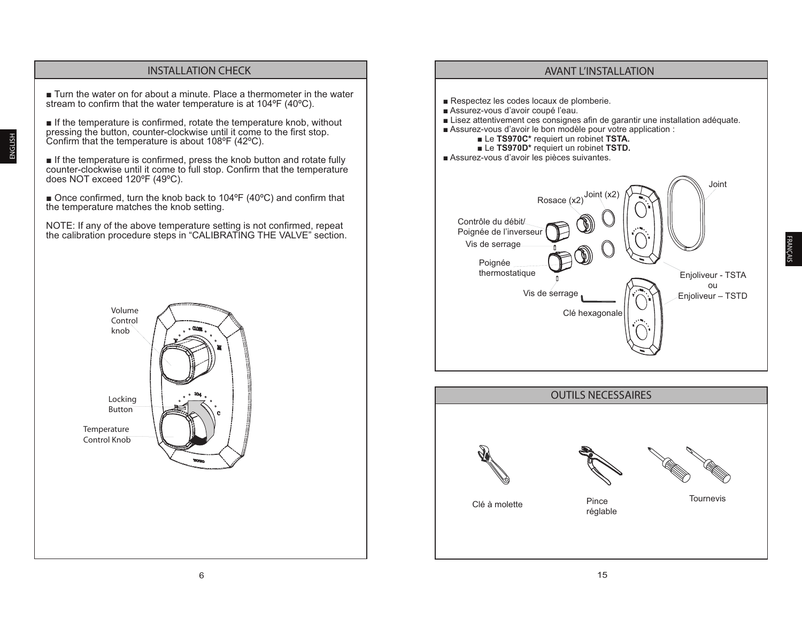

**INSTALLATION CHECK** 

ENGLISH

## Respectez les codes locaux de plomberie. Assurez-vous d'avoir coupé l'eau. ■ Lisez attentivement ces consignes afin de garantir une installation adéquate. Assurez-vous d'avoir le bon modèle pour votre application : Le TS970C\* requiert un robinet TSTA. Le TS970D\* requiert un robinet TSTD. Assurez-vous d'avoir les pièces suivantes. Joint Joint Rosace (x2) Contrôle du débit/ Poignée de l'inverseu Vis de serrage Poianée thermostatique Enjoliveur - TSTA ou Vis de serrage Enjoliveur - TSTD Clé hexagonale

**AVANT L'INSTALLATION** 

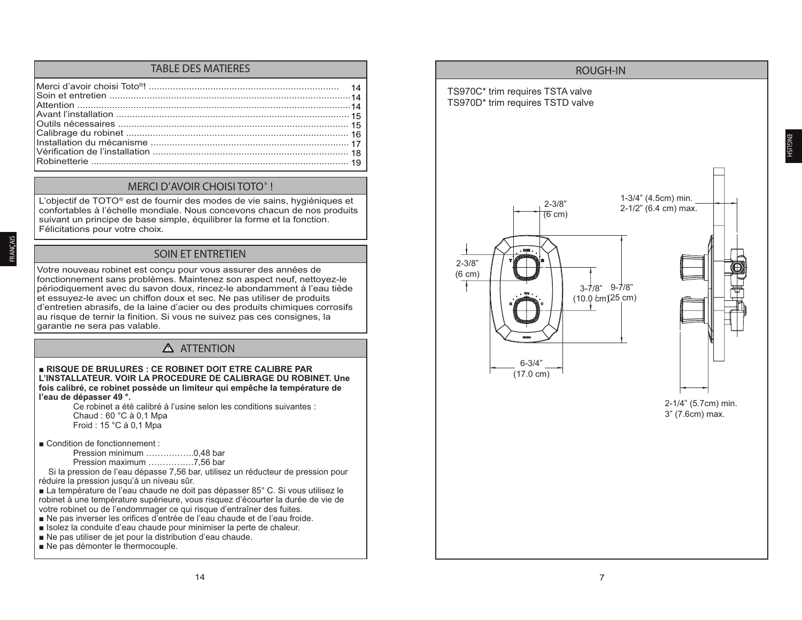#### TABLE DES MATIERES

#### MERCI D'AVOIR CHOISI TOTO® !

L'objectif de TOTO® est de fournir des modes de vie sains, hygiéniques et confortables à l'échelle mondiale. Nous concevons chacun de nos produits suivant un principe de base simple, équilibrer la forme et la fonction. Félicitations pour votre choix.

#### SOIN ET ENTRETIEN

Votre nouveau robinet est conçu pour vous assurer des années de fonctionnement sans problèmes. Maintenez son aspect neuf, nettoyez-le périodiquement avec du savon doux, rincez-le abondamment à l'eau tiède et essuyez-le avec un chiffon doux et sec. Ne pas utiliser de produits d'entretien abrasifs, de la laine d'acier ou des produits chimiques corrosifs au risque de ternir la finition. Si vous ne suivez pas ces consignes, la garantie ne sera pas valable.

## **!** ATTENTION

#### **RISQUE DE BRULURES : CE ROBINET DOIT ETRE CALIBRE PAR L'INSTALLATEUR. VOIR LA PROCEDURE DE CALIBRAGE DU ROBINET. Une fois calibré, ce robinet possède un limiteur qui empêche la température de l'eau de dépasser 49 °.**

Ce robinet a été calibré à l'usine selon les conditions suivantes : Chaud : 60 °C à 0,1 Mpa Froid : 15 °C à 0,1 Mpa

- $\blacksquare$  Condition de fonctionnement :
	- Pression minimum ……………..0,48 bar Pression maximum …………….7,56 bar
	-

 Si la pression de l'eau dépasse 7,56 bar, utilisez un réducteur de pression pour réduire la pression jusqu'à un niveau sûr.

La température de l'eau chaude ne doit pas dépasser 85° C. Si vous utilisez le robinet à une température supérieure, vous risquez d'écourter la durée de vie de votre robinet ou de l'endommager ce qui risque d'entraîner des fuites.

- Ne pas inverser les orifices d'entrée de l'eau chaude et de l'eau froide.
- Solez la conduite d'eau chaude pour minimiser la perte de chaleur.
- Ne pas utiliser de jet pour la distribution d'eau chaude.
- $\blacksquare$  Ne pas démonter le thermocouple.

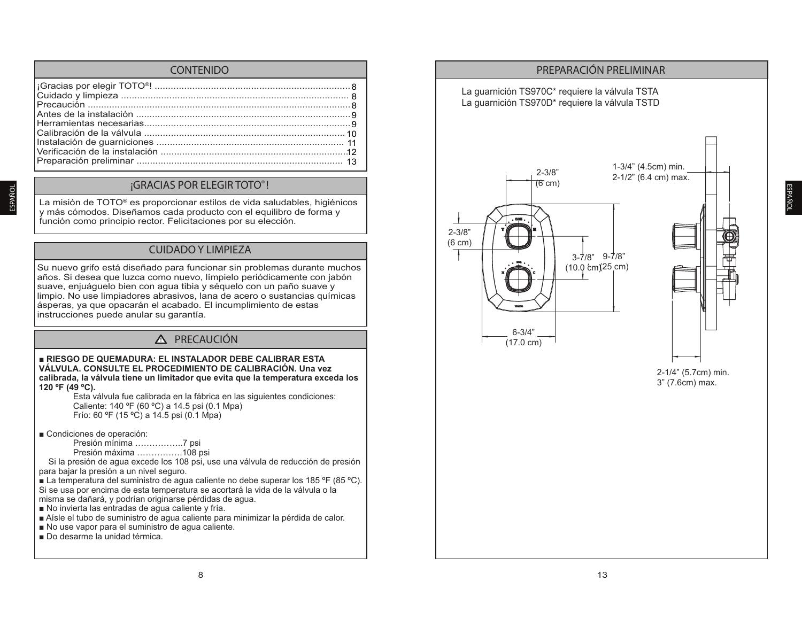#### CONTENIDO

#### ¡GRACIAS POR ELEGIR TOTO® !

La misión de TOTO® es proporcionar estilos de vida saludables, higiénicos y más cómodos. Diseñamos cada producto con el equilibro de forma y función como principio rector. Felicitaciones por su elección.

#### CUIDADO Y LIMPIEZA

Su nuevo grifo está diseñado para funcionar sin problemas durante muchos años. Si desea que luzca como nuevo, límpielo periódicamente con jabón suave, enjuáquelo bien con agua tibia y séquelo con un paño suave y limpio. No use limpiadores abrasivos, lana de acero o sustancias químicas ásperas, ya que opacarán el acabado. El incumplimiento de estas instrucciones puede anular su garantía.

#### **!** PRECAUCIÓN

#### **RIESGO DE QUEMADURA: EL INSTALADOR DEBE CALIBRAR ESTA VÁLVULA. CONSULTE EL PROCEDIMIENTO DE CALIBRACIÓN. Una vez calibrada, la válvula tiene un limitador que evita que la temperatura exceda los 120 ºF (49 ºC).**

Esta válvula fue calibrada en la fábrica en las siguientes condiciones: Caliente: 140 ºF (60 ºC) a 14.5 psi (0.1 Mpa) Frío: 60 ºF (15 ºC) a 14.5 psi (0.1 Mpa)

■ Condiciones de operación:

Presión mínima ……………..7 psi

Presión máxima …………….108 psi

 Si la presión de agua excede los 108 psi, use una válvula de reducción de presión para bajar la presión a un nivel seguro.

**E** La temperatura del suministro de aqua caliente no debe superar los 185 °F (85 °C). Si se usa por encima de esta temperatura se acortará la vida de la válvula o la misma se dañará, y podrían originarse pérdidas de agua.

 $\blacksquare$  No invierta las entradas de agua caliente y fría.

Aísle el tubo de suministro de agua caliente para minimizar la pérdida de calor.

No use vapor para el suministro de agua caliente.

Do desarme la unidad térmica.



ESPAÑO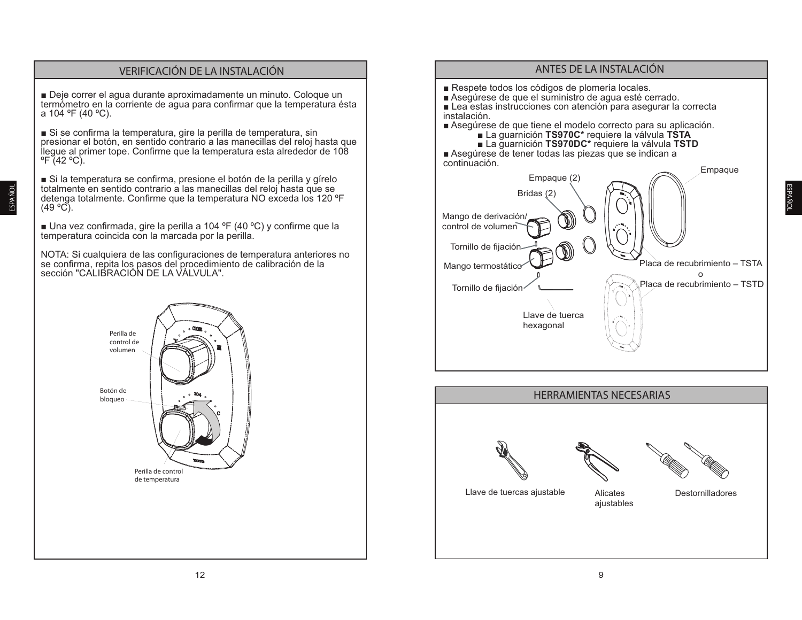## **VERIFICACIÓN DE LA INSTALACIÓN**

Deje correr el aqua durante aproximadamente un minuto. Coloque un termómetro en la corriente de agua para confirmar que la temperatura ésta a 104 °F (40 °C).

Si se confirma la temperatura, gire la perilla de temperatura, sin presionar el botón, en sentido contrario a las manecillas del reloj hasta que llegue al primer tope. Confirme que la temperatura esta alrededor de 108  $\degree$ F (42  $\degree$ C).

Si la temperatura se confirma, presione el botón de la perilla y gírelo totalmente en sentido contrario a las manecillas del reloj hasta que se detenga totalmente. Confirme que la temperatura NO exceda los 120 °F  $(49 °C)$ .

■ Una vez confirmada, gire la perilla a 104 °F (40 °C) y confirme que la temperatura coincida con la marcada por la perilla.

NOTA: Si cualquiera de las configuraciones de temperatura anteriores no se confirma, repita los pasos del procedimiento de calibración de la se communa, replia los pasos dol procedimientos

# Perilla de control de volumen Botón de bloqueo Perilla de control de temperatura



ANTES DE LA INSTALACIÓN







Llave de tuercas aiustable

Alicates Destornilladores aiustables